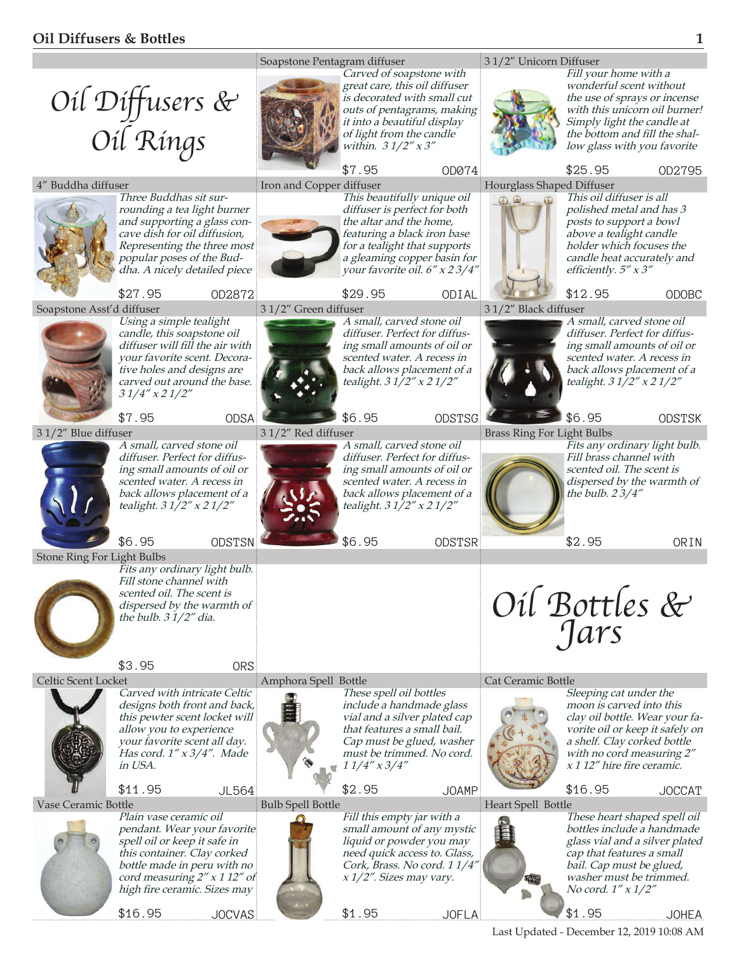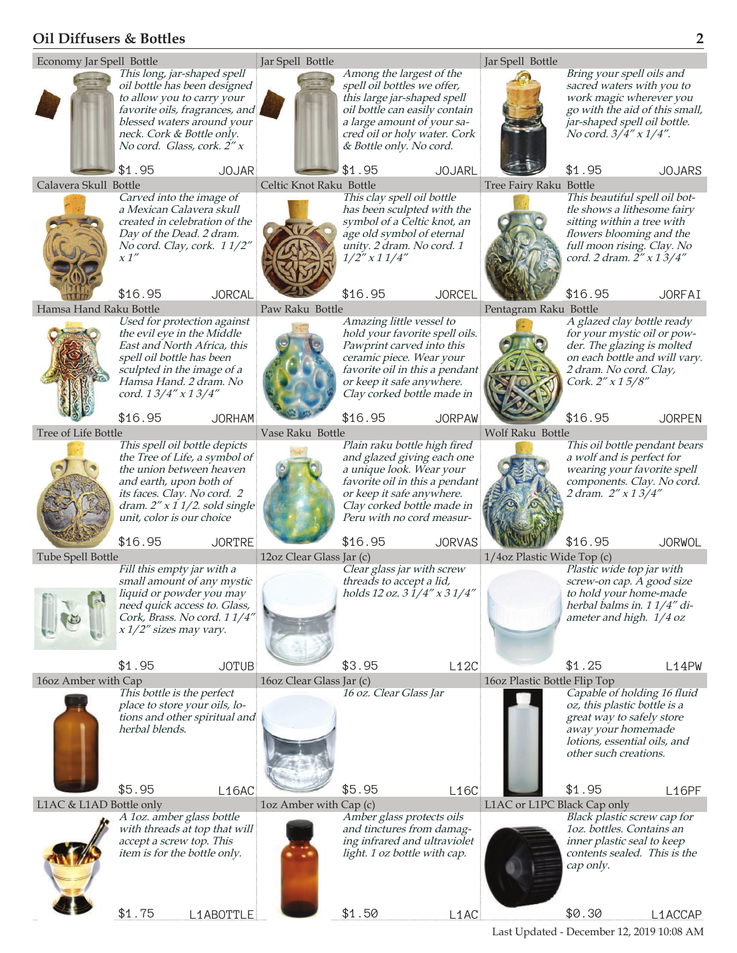## **Oil Diffusers & Bottles 2**



Last Updated - December 12, 2019 10:08 AM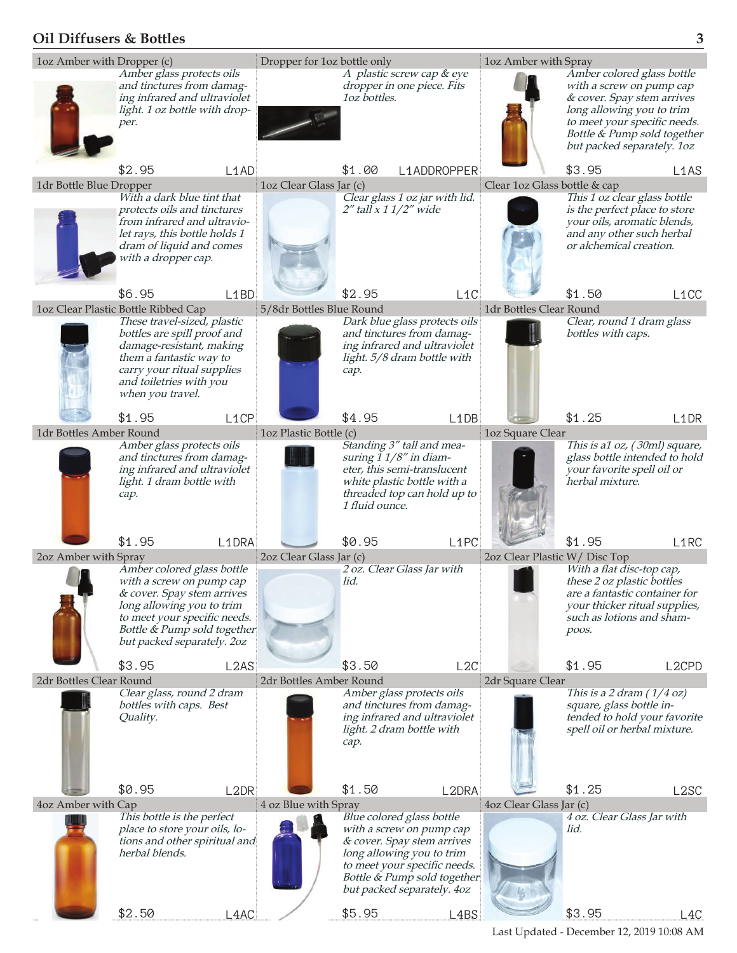## **Oil Diffusers & Bottles 3**



Last Updated - December 12, 2019 10:08 AM